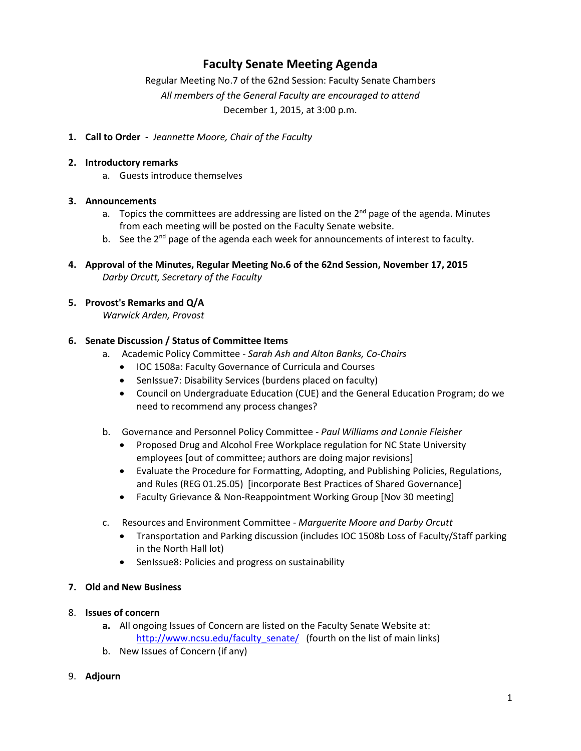## **Faculty Senate Meeting Agenda**

Regular Meeting No.7 of the 62nd Session: Faculty Senate Chambers *All members of the General Faculty are encouraged to attend* December 1, 2015, at 3:00 p.m.

**1. Call to Order -** *Jeannette Moore, Chair of the Faculty*

#### **2. Introductory remarks**

a. Guests introduce themselves

## **3. Announcements**

- a. Topics the committees are addressing are listed on the  $2^{nd}$  page of the agenda. Minutes from each meeting will be posted on the Faculty Senate website.
- b. See the  $2^{nd}$  page of the agenda each week for announcements of interest to faculty.
- **4. Approval of the Minutes, Regular Meeting No.6 of the 62nd Session, November 17, 2015** *Darby Orcutt, Secretary of the Faculty*

## **5. Provost's Remarks and Q/A**

*Warwick Arden, Provost*

#### **6. Senate Discussion / Status of Committee Items**

- a. Academic Policy Committee *Sarah Ash and Alton Banks, Co-Chairs*
	- IOC 1508a: Faculty Governance of Curricula and Courses
	- SenIssue7: Disability Services (burdens placed on faculty)
	- Council on Undergraduate Education (CUE) and the General Education Program; do we need to recommend any process changes?
- b. Governance and Personnel Policy Committee *Paul Williams and Lonnie Fleisher*
	- Proposed Drug and Alcohol Free Workplace regulation for NC State University employees [out of committee; authors are doing major revisions]
	- Evaluate the Procedure for Formatting, Adopting, and Publishing Policies, Regulations, and Rules (REG 01.25.05) [incorporate Best Practices of Shared Governance]
	- Faculty Grievance & Non-Reappointment Working Group [Nov 30 meeting]
- c. Resources and Environment Committee *Marguerite Moore and Darby Orcutt*
	- Transportation and Parking discussion (includes IOC 1508b Loss of Faculty/Staff parking in the North Hall lot)
	- SenIssue8: Policies and progress on sustainability

#### **7. Old and New Business**

- 8. **Issues of concern**
	- **a.** All ongoing Issues of Concern are listed on the Faculty Senate Website at: [http://www.ncsu.edu/faculty\\_senate/](http://www.ncsu.edu/faculty_senate/) (fourth on the list of main links)
	- b. New Issues of Concern (if any)

#### 9. **Adjourn**